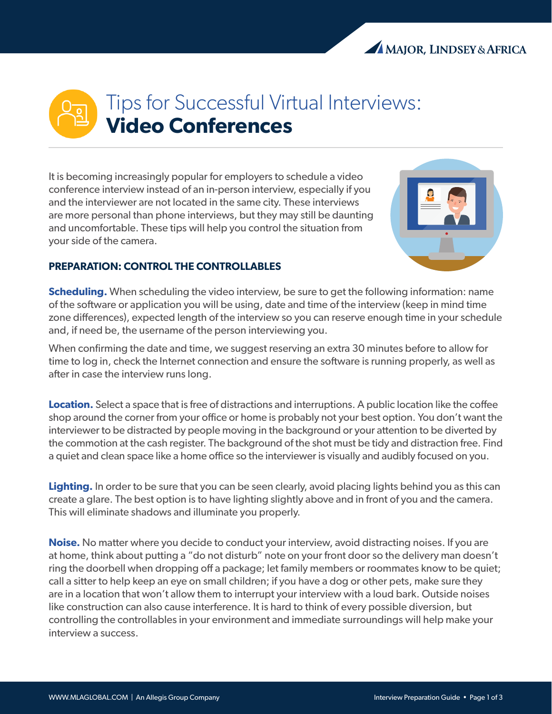## Tips for Successful Virtual Interviews: **Video Conferences**

It is becoming increasingly popular for employers to schedule a video conference interview instead of an in-person interview, especially if you and the interviewer are not located in the same city. These interviews are more personal than phone interviews, but they may still be daunting and uncomfortable. These tips will help you control the situation from your side of the camera.



## **PREPARATION: CONTROL THE CONTROLLABLES**

**Scheduling.** When scheduling the video interview, be sure to get the following information: name of the software or application you will be using, date and time of the interview (keep in mind time zone differences), expected length of the interview so you can reserve enough time in your schedule and, if need be, the username of the person interviewing you.

When confirming the date and time, we suggest reserving an extra 30 minutes before to allow for time to log in, check the Internet connection and ensure the software is running properly, as well as after in case the interview runs long.

**Location.** Select a space that is free of distractions and interruptions. A public location like the coffee shop around the corner from your office or home is probably not your best option. You don't want the interviewer to be distracted by people moving in the background or your attention to be diverted by the commotion at the cash register. The background of the shot must be tidy and distraction free. Find a quiet and clean space like a home office so the interviewer is visually and audibly focused on you.

**Lighting.** In order to be sure that you can be seen clearly, avoid placing lights behind you as this can create a glare. The best option is to have lighting slightly above and in front of you and the camera. This will eliminate shadows and illuminate you properly.

**Noise.** No matter where you decide to conduct your interview, avoid distracting noises. If you are at home, think about putting a "do not disturb" note on your front door so the delivery man doesn't ring the doorbell when dropping off a package; let family members or roommates know to be quiet; call a sitter to help keep an eye on small children; if you have a dog or other pets, make sure they are in a location that won't allow them to interrupt your interview with a loud bark. Outside noises like construction can also cause interference. It is hard to think of every possible diversion, but controlling the controllables in your environment and immediate surroundings will help make your interview a success.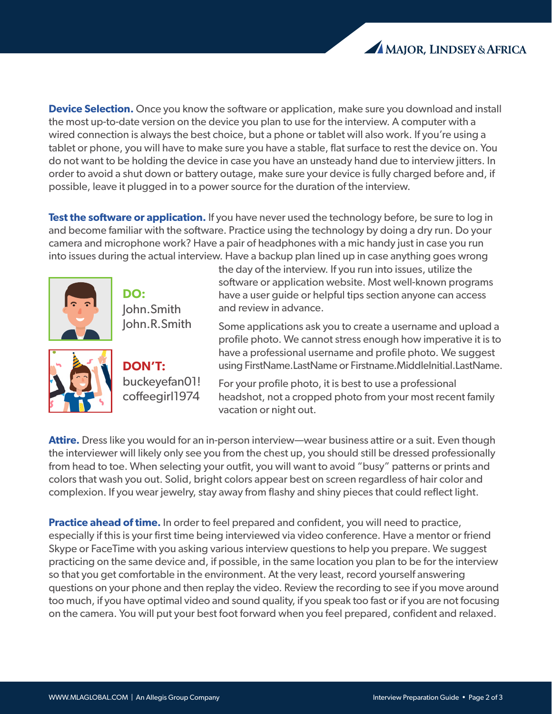

**Device Selection.** Once you know the software or application, make sure you download and install the most up-to-date version on the device you plan to use for the interview. A computer with a wired connection is always the best choice, but a phone or tablet will also work. If you're using a tablet or phone, you will have to make sure you have a stable, flat surface to rest the device on. You do not want to be holding the device in case you have an unsteady hand due to interview jitters. In order to avoid a shut down or battery outage, make sure your device is fully charged before and, if possible, leave it plugged in to a power source for the duration of the interview.

**Test the software or application.** If you have never used the technology before, be sure to log in and become familiar with the software. Practice using the technology by doing a dry run. Do your camera and microphone work? Have a pair of headphones with a mic handy just in case you run into issues during the actual interview. Have a backup plan lined up in case anything goes wrong



**DO:**  John.Smith John.R.Smith

**DON'T:** buckeyefan01! coffeegirl1974

the day of the interview. If you run into issues, utilize the software or application website. Most well-known programs have a user guide or helpful tips section anyone can access and review in advance.

Some applications ask you to create a username and upload a profile photo. We cannot stress enough how imperative it is to have a professional username and profile photo. We suggest using FirstName.LastName or Firstname.MiddleInitial.LastName.

For your profile photo, it is best to use a professional headshot, not a cropped photo from your most recent family vacation or night out.

**Attire.** Dress like you would for an in-person interview—wear business attire or a suit. Even though the interviewer will likely only see you from the chest up, you should still be dressed professionally from head to toe. When selecting your outfit, you will want to avoid "busy" patterns or prints and colors that wash you out. Solid, bright colors appear best on screen regardless of hair color and complexion. If you wear jewelry, stay away from flashy and shiny pieces that could reflect light.

**Practice ahead of time.** In order to feel prepared and confident, you will need to practice, especially if this is your first time being interviewed via video conference. Have a mentor or friend Skype or FaceTime with you asking various interview questions to help you prepare. We suggest practicing on the same device and, if possible, in the same location you plan to be for the interview so that you get comfortable in the environment. At the very least, record yourself answering questions on your phone and then replay the video. Review the recording to see if you move around too much, if you have optimal video and sound quality, if you speak too fast or if you are not focusing on the camera. You will put your best foot forward when you feel prepared, confident and relaxed.